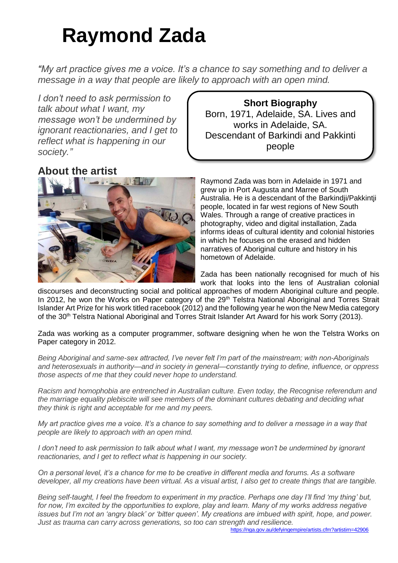# **Raymond Zada**

*"My art practice gives me a voice. It's a chance to say something and to deliver a message in a way that people are likely to approach with an open mind.*

*I don't need to ask permission to talk about what I want, my message won't be undermined by ignorant reactionaries, and I get to reflect what is happening in our society."*

# **About the artist**



**Short Biography** Born, 1971, Adelaide, SA. Lives and works in Adelaide, SA. Descendant of Barkindi and Pakkinti people

Raymond Zada was born in Adelaide in 1971 and grew up in Port Augusta and Marree of South Australia. He is a descendant of the Barkindji/Pakkintji people, located in far west regions of New South Wales. Through a range of creative practices in photography, video and digital installation, Zada informs ideas of cultural identity and colonial histories in which he focuses on the erased and hidden narratives of Aboriginal culture and history in his hometown of Adelaide.

Zada has been nationally recognised for much of his work that looks into the lens of Australian colonial

discourses and deconstructing social and political approaches of modern Aboriginal culture and people. In 2012, he won the Works on Paper category of the 29<sup>th</sup> Telstra National Aboriginal and Torres Strait Islander Art Prize for his work titled racebook (2012) and the following year he won the New Media category of the 30<sup>th</sup> Telstra National Aboriginal and Torres Strait Islander Art Award for his work Sorry (2013).

Zada was working as a computer programmer, software designing when he won the Telstra Works on Paper category in 2012.

*Being Aboriginal and same-sex attracted, I've never felt I'm part of the mainstream; with non-Aboriginals and heterosexuals in authority—and in society in general—constantly trying to define, influence, or oppress those aspects of me that they could never hope to understand.*

*Racism and homophobia are entrenched in Australian culture. Even today, the Recognise referendum and the marriage equality plebiscite will see members of the dominant cultures debating and deciding what they think is right and acceptable for me and my peers.*

*My art practice gives me a voice. It's a chance to say something and to deliver a message in a way that people are likely to approach with an open mind.*

*I don't need to ask permission to talk about what I want, my message won't be undermined by ignorant reactionaries, and I get to reflect what is happening in our society.*

*On a personal level, it's a chance for me to be creative in different media and forums. As a software developer, all my creations have been virtual. As a visual artist, I also get to create things that are tangible.*

*Being self-taught, I feel the freedom to experiment in my practice. Perhaps one day I'll find 'my thing' but, for now, I'm excited by the opportunities to explore, play and learn. Many of my works address negative issues but I'm not an 'angry black' or 'bitter queen'. My creations are imbued with spirit, hope, and power. Just as trauma can carry across generations, so too can strength and resilience.*

<https://nga.gov.au/defyingempire/artists.cfm?artistirn=42906>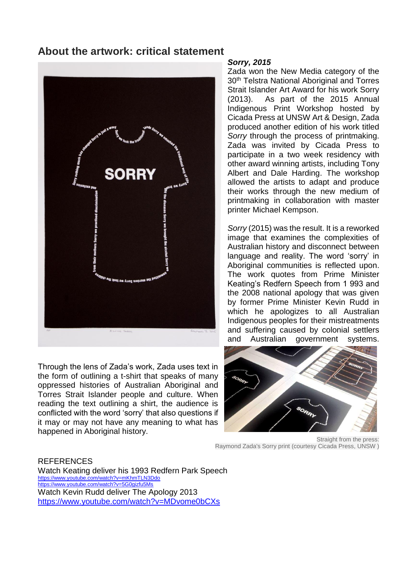## **About the artwork: critical statement**



Through the lens of Zada's work, Zada uses text in the form of outlining a t-shirt that speaks of many oppressed histories of Australian Aboriginal and Torres Strait Islander people and culture. When reading the text outlining a shirt, the audience is conflicted with the word 'sorry' that also questions if it may or may not have any meaning to what has happened in Aboriginal history.

#### *Sorry, 2015*

Zada won the New Media category of the 30<sup>th</sup> Telstra National Aboriginal and Torres Strait Islander Art Award for his work Sorry (2013). As part of the 2015 Annual Indigenous Print Workshop hosted by Cicada Press at UNSW Art & Design, Zada produced another edition of his work titled *Sorry* through the process of printmaking. Zada was invited by Cicada Press to participate in a two week residency with other award winning artists, including Tony Albert and Dale Harding. The workshop allowed the artists to adapt and produce their works through the new medium of printmaking in collaboration with master printer Michael Kempson.

*Sorry* (2015) was the result. It is a reworked image that examines the complexities of Australian history and disconnect between language and reality. The word 'sorry' in Aboriginal communities is reflected upon. The work quotes from Prime Minister Keating's Redfern Speech from 1 993 and the 2008 national apology that was given by former Prime Minister Kevin Rudd in which he apologizes to all Australian Indigenous peoples for their mistreatments and suffering caused by colonial settlers and Australian government systems.



Straight from the press: Raymond Zada's Sorry print (courtesy Cicada Press, UNSW )

#### REFERENCES

Watch Keating deliver his 1993 Redfern Park Speech <https://www.youtube.com/watch?v=mKhmTLN3Ddo> <https://www.youtube.com/watch?v=5G0gizfu5Ms> Watch Kevin Rudd deliver The Apology 2013 <https://www.youtube.com/watch?v=MDvome0bCXs>